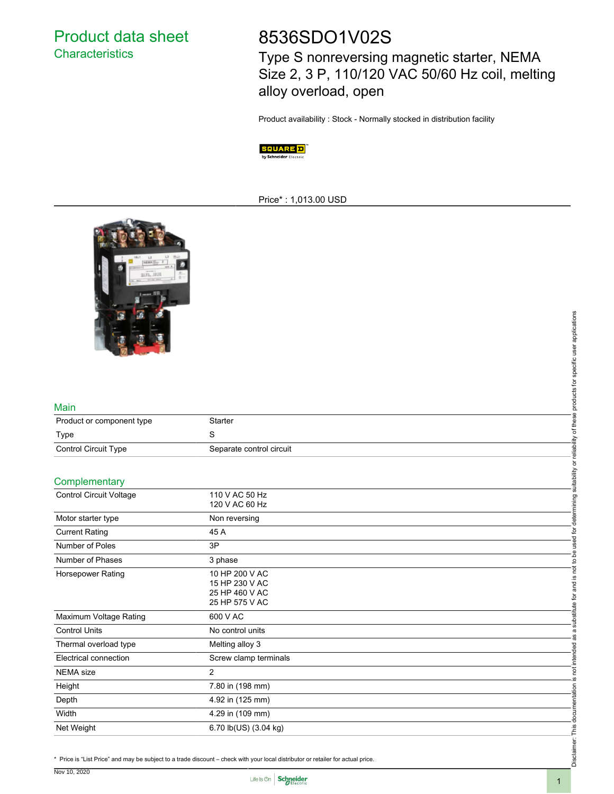Product data sheet **Characteristics** 

# 8536SDO1V02S

Type S nonreversing magnetic starter, NEMA Size 2, 3 P, 110/120 VAC 50/60 Hz coil, melting alloy overload, open

Product availability : Stock - Normally stocked in distribution facility



#### Price\* : 1,013.00 USD



#### Main

| Product or component type   | Starter                  |
|-----------------------------|--------------------------|
| Type                        |                          |
| <b>Control Circuit Type</b> | Separate control circuit |

#### **Complementary**

|                           |                                                                                                                                  | applications     |
|---------------------------|----------------------------------------------------------------------------------------------------------------------------------|------------------|
|                           |                                                                                                                                  |                  |
|                           |                                                                                                                                  | user             |
|                           |                                                                                                                                  | specific         |
|                           |                                                                                                                                  | ₫                |
|                           |                                                                                                                                  | ഇ<br>product     |
| Main                      |                                                                                                                                  |                  |
| Product or component type | Starter                                                                                                                          | thes             |
| Type                      | $\mathbf S$                                                                                                                      | ৳                |
| Control Circuit Type      | Separate control circuit                                                                                                         | reliability      |
|                           |                                                                                                                                  | ৯                |
| Complementary             |                                                                                                                                  | suitability      |
| Control Circuit Voltage   | 110 V AC 50 Hz                                                                                                                   |                  |
|                           | 120 V AC 60 Hz                                                                                                                   | ining            |
| Motor starter type        | Non reversing                                                                                                                    | deter            |
| <b>Current Rating</b>     | 45 A                                                                                                                             | ق                |
| Number of Poles           | 3P                                                                                                                               |                  |
| Number of Phases          | 3 phase                                                                                                                          | $\overline{c}$   |
| Horsepower Rating         | 10 HP 200 V AC                                                                                                                   | not<br><u>.ഗ</u> |
|                           | 15 HP 230 V AC<br>25 HP 460 V AC                                                                                                 | and              |
|                           | 25 HP 575 V AC                                                                                                                   | ίğ               |
| Maximum Voltage Rating    | 600 V AC                                                                                                                         | substitute       |
| <b>Control Units</b>      | No control units                                                                                                                 |                  |
| Thermal overload type     | Melting alloy 3                                                                                                                  | ᄝ                |
| Electrical connection     | Screw clamp terminals                                                                                                            | intend           |
| <b>NEMA</b> size          | $\overline{2}$                                                                                                                   | ă                |
| Height                    | 7.80 in (198 mm)                                                                                                                 | S                |
| Depth                     | 4.92 in (125 mm)                                                                                                                 |                  |
| Width                     | 4.29 in (109 mm)                                                                                                                 |                  |
| Net Weight                | 6.70 lb(US) (3.04 kg)                                                                                                            |                  |
|                           |                                                                                                                                  |                  |
|                           | * Price is "List Price" and may be subject to a trade discount - check with your local distributor or retailer for actual price. | laim<br>Discl    |
|                           |                                                                                                                                  |                  |



Disclaimer: This documentation is not intended as a substitute for and is not to be used for determining suitability or reliability of these products for specific user applications